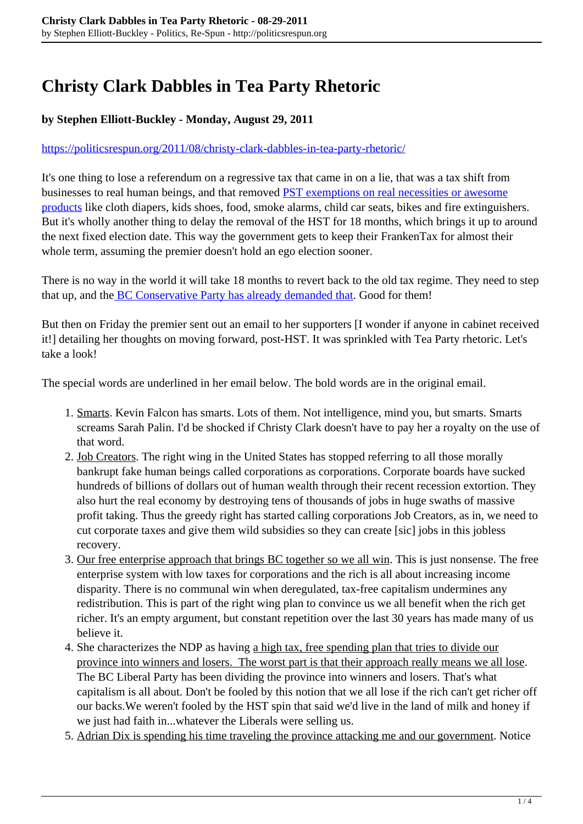## **Christy Clark Dabbles in Tea Party Rhetoric**

## **by Stephen Elliott-Buckley - Monday, August 29, 2011**

## <https://politicsrespun.org/2011/08/christy-clark-dabbles-in-tea-party-rhetoric/>

It's one thing to lose a referendum on a regressive tax that came in on a lie, that was a tax shift from businesses to real human beings, and that removed [PST exemptions on real necessities or awesome](http://www.taxtips.ca/bcpst/bcpstexemptions.htm) [products](http://www.taxtips.ca/bcpst/bcpstexemptions.htm) like cloth diapers, kids shoes, food, smoke alarms, child car seats, bikes and fire extinguishers. But it's wholly another thing to delay the removal of the HST for 18 months, which brings it up to around the next fixed election date. This way the government gets to keep their FrankenTax for almost their whole term, assuming the premier doesn't hold an ego election sooner.

There is no way in the world it will take 18 months to revert back to the old tax regime. They need to step that up, and the [BC Conservative Party has already demanded that.](http://bcconservative.ca/2011/08/statement-by-john-cummins-regarding-hst-referendum-results/) Good for them!

But then on Friday the premier sent out an email to her supporters [I wonder if anyone in cabinet received it!] detailing her thoughts on moving forward, post-HST. It was sprinkled with Tea Party rhetoric. Let's take a look!

The special words are underlined in her email below. The bold words are in the original email.

- 1. Smarts. Kevin Falcon has smarts. Lots of them. Not intelligence, mind you, but smarts. Smarts screams Sarah Palin. I'd be shocked if Christy Clark doesn't have to pay her a royalty on the use of that word.
- 2. Job Creators. The right wing in the United States has stopped referring to all those morally bankrupt fake human beings called corporations as corporations. Corporate boards have sucked hundreds of billions of dollars out of human wealth through their recent recession extortion. They also hurt the real economy by destroying tens of thousands of jobs in huge swaths of massive profit taking. Thus the greedy right has started calling corporations Job Creators, as in, we need to cut corporate taxes and give them wild subsidies so they can create [sic] jobs in this jobless recovery.
- 3. Our free enterprise approach that brings BC together so we all win. This is just nonsense. The free enterprise system with low taxes for corporations and the rich is all about increasing income disparity. There is no communal win when deregulated, tax-free capitalism undermines any redistribution. This is part of the right wing plan to convince us we all benefit when the rich get richer. It's an empty argument, but constant repetition over the last 30 years has made many of us believe it.
- 4. She characterizes the NDP as having a high tax, free spending plan that tries to divide our province into winners and losers. The worst part is that their approach really means we all lose. The BC Liberal Party has been dividing the province into winners and losers. That's what capitalism is all about. Don't be fooled by this notion that we all lose if the rich can't get richer off our backs.We weren't fooled by the HST spin that said we'd live in the land of milk and honey if we just had faith in...whatever the Liberals were selling us.
- 5. Adrian Dix is spending his time traveling the province attacking me and our government. Notice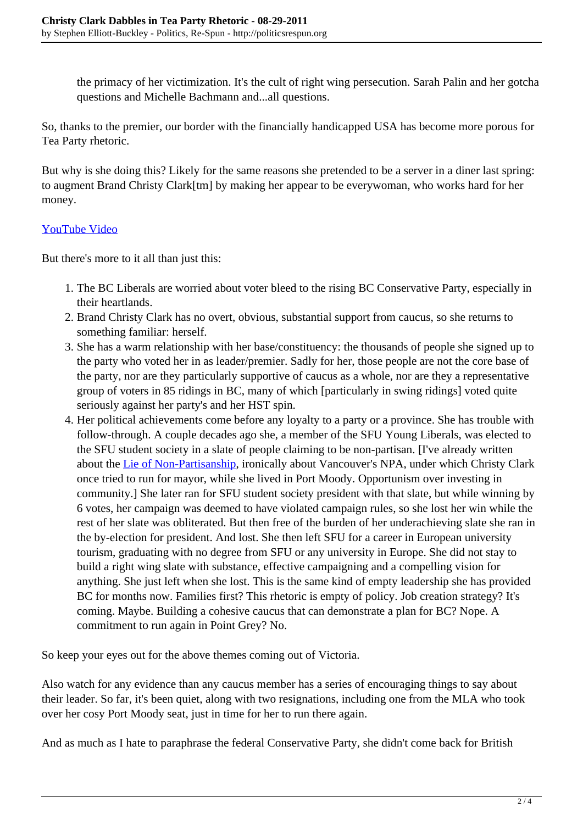the primacy of her victimization. It's the cult of right wing persecution. Sarah Palin and her gotcha questions and Michelle Bachmann and...all questions.

So, thanks to the premier, our border with the financially handicapped USA has become more porous for Tea Party rhetoric.

But why is she doing this? Likely for the same reasons she pretended to be a server in a diner last spring: to augment Brand Christy Clark[tm] by making her appear to be everywoman, who works hard for her money.

## [YouTube Video](http://www.youtube.com/watch?v=1TKQcWEXSKU)

But there's more to it all than just this:

- 1. The BC Liberals are worried about voter bleed to the rising BC Conservative Party, especially in their heartlands.
- 2. Brand Christy Clark has no overt, obvious, substantial support from caucus, so she returns to something familiar: herself.
- 3. She has a warm relationship with her base/constituency: the thousands of people she signed up to the party who voted her in as leader/premier. Sadly for her, those people are not the core base of the party, nor are they particularly supportive of caucus as a whole, nor are they a representative group of voters in 85 ridings in BC, many of which [particularly in swing ridings] voted quite seriously against her party's and her HST spin.
- 4. Her political achievements come before any loyalty to a party or a province. She has trouble with follow-through. A couple decades ago she, a member of the SFU Young Liberals, was elected to the SFU student society in a slate of people claiming to be non-partisan. [I've already written about the [Lie of Non-Partisanship](http://politicsrespun.org/2005/07/the-lie-of-non-partisanship/), ironically about Vancouver's NPA, under which Christy Clark once tried to run for mayor, while she lived in Port Moody. Opportunism over investing in community.] She later ran for SFU student society president with that slate, but while winning by 6 votes, her campaign was deemed to have violated campaign rules, so she lost her win while the rest of her slate was obliterated. But then free of the burden of her underachieving slate she ran in the by-election for president. And lost. She then left SFU for a career in European university tourism, graduating with no degree from SFU or any university in Europe. She did not stay to build a right wing slate with substance, effective campaigning and a compelling vision for anything. She just left when she lost. This is the same kind of empty leadership she has provided BC for months now. Families first? This rhetoric is empty of policy. Job creation strategy? It's coming. Maybe. Building a cohesive caucus that can demonstrate a plan for BC? Nope. A commitment to run again in Point Grey? No.

So keep your eyes out for the above themes coming out of Victoria.

Also watch for any evidence than any caucus member has a series of encouraging things to say about their leader. So far, it's been quiet, along with two resignations, including one from the MLA who took over her cosy Port Moody seat, just in time for her to run there again.

And as much as I hate to paraphrase the federal Conservative Party, she didn't come back for British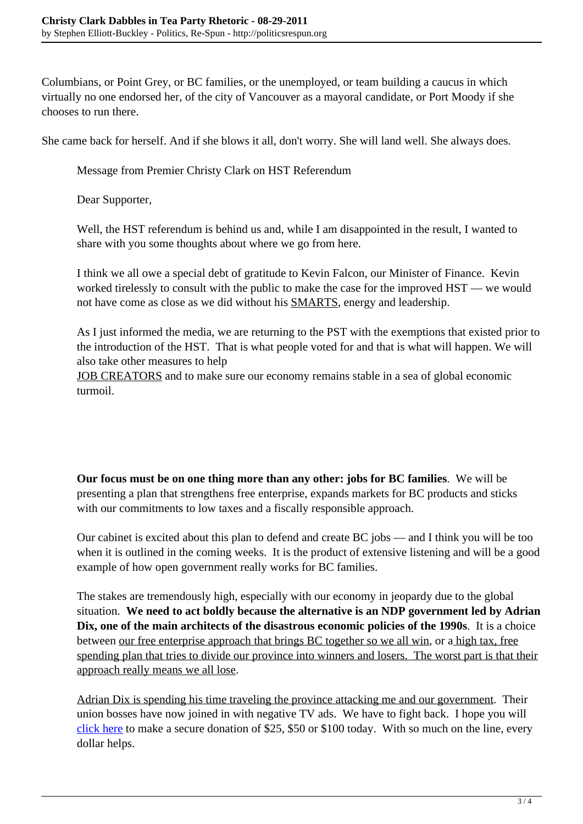Columbians, or Point Grey, or BC families, or the unemployed, or team building a caucus in which virtually no one endorsed her, of the city of Vancouver as a mayoral candidate, or Port Moody if she chooses to run there.

She came back for herself. And if she blows it all, don't worry. She will land well. She always does.

Message from Premier Christy Clark on HST Referendum

Dear Supporter,

Well, the HST referendum is behind us and, while I am disappointed in the result, I wanted to share with you some thoughts about where we go from here.

I think we all owe a special debt of gratitude to Kevin Falcon, our Minister of Finance. Kevin worked tirelessly to consult with the public to make the case for the improved HST — we would not have come as close as we did without his SMARTS, energy and leadership.

As I just informed the media, we are returning to the PST with the exemptions that existed prior to the introduction of the HST. That is what people voted for and that is what will happen. We will also take other measures to help

JOB CREATORS and to make sure our economy remains stable in a sea of global economic turmoil.

**Our focus must be on one thing more than any other: jobs for BC families**. We will be presenting a plan that strengthens free enterprise, expands markets for BC products and sticks with our commitments to low taxes and a fiscally responsible approach.

Our cabinet is excited about this plan to defend and create BC jobs — and I think you will be too when it is outlined in the coming weeks. It is the product of extensive listening and will be a good example of how open government really works for BC families.

The stakes are tremendously high, especially with our economy in jeopardy due to the global situation. **We need to act boldly because the alternative is an NDP government led by Adrian Dix, one of the main architects of the disastrous economic policies of the 1990s**. It is a choice between our free enterprise approach that brings BC together so we all win, or a high tax, free spending plan that tries to divide our province into winners and losers. The worst part is that their approach really means we all lose.

Adrian Dix is spending his time traveling the province attacking me and our government. Their union bosses have now joined in with negative TV ads. We have to fight back. I hope you will [click here](http://secure.bcliberals.com/) to make a secure donation of \$25, \$50 or \$100 today. With so much on the line, every dollar helps.